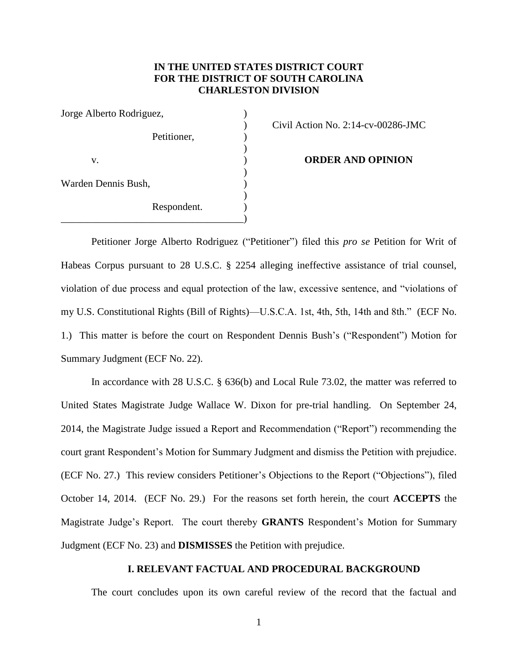# **IN THE UNITED STATES DISTRICT COURT FOR THE DISTRICT OF SOUTH CAROLINA CHARLESTON DIVISION**

| Jorge Alberto Rodriguez, |             |  |
|--------------------------|-------------|--|
|                          | Petitioner, |  |
| V.                       |             |  |
| Warden Dennis Bush,      |             |  |
|                          | Respondent. |  |

) Civil Action No. 2:14-cv-00286-JMC

**ORDER AND OPINION** 

Petitioner Jorge Alberto Rodriguez ("Petitioner") filed this *pro se* Petition for Writ of Habeas Corpus pursuant to 28 U.S.C. § 2254 alleging ineffective assistance of trial counsel, violation of due process and equal protection of the law, excessive sentence, and "violations of my U.S. Constitutional Rights (Bill of Rights)—U.S.C.A. 1st, 4th, 5th, 14th and 8th." (ECF No. 1.) This matter is before the court on Respondent Dennis Bush's ("Respondent") Motion for Summary Judgment (ECF No. 22).

In accordance with 28 U.S.C. § 636(b) and Local Rule 73.02, the matter was referred to United States Magistrate Judge Wallace W. Dixon for pre-trial handling. On September 24, 2014, the Magistrate Judge issued a Report and Recommendation ("Report") recommending the court grant Respondent's Motion for Summary Judgment and dismiss the Petition with prejudice. (ECF No. 27.) This review considers Petitioner's Objections to the Report ("Objections"), filed October 14, 2014. (ECF No. 29.) For the reasons set forth herein, the court **ACCEPTS** the Magistrate Judge's Report. The court thereby **GRANTS** Respondent's Motion for Summary Judgment (ECF No. 23) and **DISMISSES** the Petition with prejudice.

# **I. RELEVANT FACTUAL AND PROCEDURAL BACKGROUND**

The court concludes upon its own careful review of the record that the factual and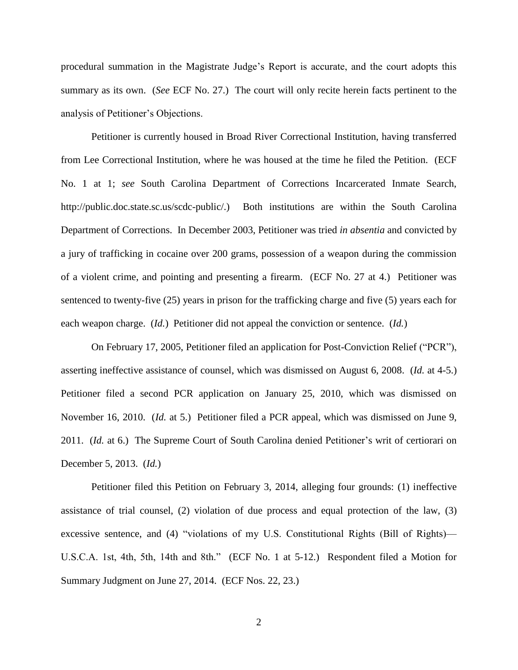procedural summation in the Magistrate Judge's Report is accurate, and the court adopts this summary as its own. (*See* ECF No. 27.) The court will only recite herein facts pertinent to the analysis of Petitioner's Objections.

Petitioner is currently housed in Broad River Correctional Institution, having transferred from Lee Correctional Institution, where he was housed at the time he filed the Petition. (ECF No. 1 at 1; *see* South Carolina Department of Corrections Incarcerated Inmate Search, http://public.doc.state.sc.us/scdc-public/.) Both institutions are within the South Carolina Department of Corrections. In December 2003, Petitioner was tried *in absentia* and convicted by a jury of trafficking in cocaine over 200 grams, possession of a weapon during the commission of a violent crime, and pointing and presenting a firearm. (ECF No. 27 at 4.) Petitioner was sentenced to twenty-five (25) years in prison for the trafficking charge and five (5) years each for each weapon charge. (*Id.*) Petitioner did not appeal the conviction or sentence. (*Id.*)

On February 17, 2005, Petitioner filed an application for Post-Conviction Relief ("PCR"), asserting ineffective assistance of counsel, which was dismissed on August 6, 2008. (*Id.* at 4-5.) Petitioner filed a second PCR application on January 25, 2010, which was dismissed on November 16, 2010. (*Id.* at 5.) Petitioner filed a PCR appeal, which was dismissed on June 9, 2011. (*Id.* at 6.) The Supreme Court of South Carolina denied Petitioner's writ of certiorari on December 5, 2013. (*Id.*)

Petitioner filed this Petition on February 3, 2014, alleging four grounds: (1) ineffective assistance of trial counsel, (2) violation of due process and equal protection of the law, (3) excessive sentence, and (4) "violations of my U.S. Constitutional Rights (Bill of Rights)— U.S.C.A. 1st, 4th, 5th, 14th and 8th." (ECF No. 1 at 5-12.) Respondent filed a Motion for Summary Judgment on June 27, 2014. (ECF Nos. 22, 23.)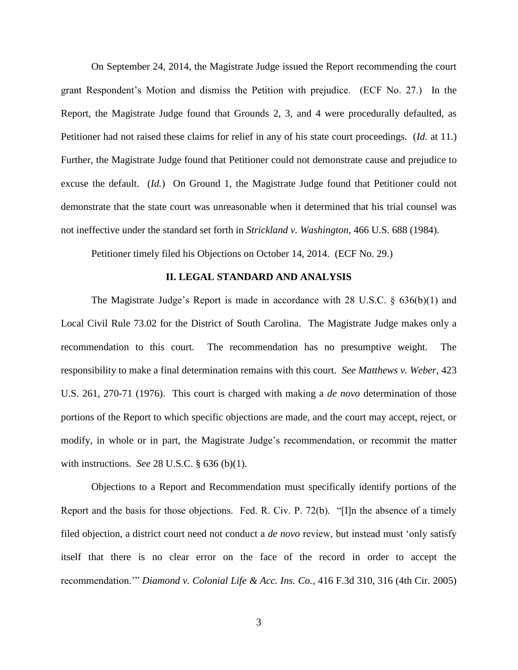On September 24, 2014, the Magistrate Judge issued the Report recommending the court grant Respondent's Motion and dismiss the Petition with prejudice. (ECF No. 27.) In the Report, the Magistrate Judge found that Grounds 2, 3, and 4 were procedurally defaulted, as Petitioner had not raised these claims for relief in any of his state court proceedings. (*Id.* at 11.) Further, the Magistrate Judge found that Petitioner could not demonstrate cause and prejudice to excuse the default. (*Id.*) On Ground 1, the Magistrate Judge found that Petitioner could not demonstrate that the state court was unreasonable when it determined that his trial counsel was not ineffective under the standard set forth in *Strickland v. Washington,* 466 U.S. 688 (1984).

Petitioner timely filed his Objections on October 14, 2014. (ECF No. 29.)

### **II. LEGAL STANDARD AND ANALYSIS**

The Magistrate Judge's Report is made in accordance with 28 U.S.C. § 636(b)(1) and Local Civil Rule 73.02 for the District of South Carolina. The Magistrate Judge makes only a recommendation to this court. The recommendation has no presumptive weight. The responsibility to make a final determination remains with this court. *See Matthews v. Weber*, 423 U.S. 261, 270-71 (1976). This court is charged with making a *de novo* determination of those portions of the Report to which specific objections are made, and the court may accept, reject, or modify, in whole or in part, the Magistrate Judge's recommendation, or recommit the matter with instructions. *See* 28 U.S.C. § 636 (b)(1).

Objections to a Report and Recommendation must specifically identify portions of the Report and the basis for those objections. Fed. R. Civ. P. 72(b). "[I]n the absence of a timely filed objection, a district court need not conduct a *de novo* review, but instead must 'only satisfy itself that there is no clear error on the face of the record in order to accept the recommendation.'" *Diamond v. Colonial Life & Acc. Ins. Co.*, 416 F.3d 310, 316 (4th Cir. 2005)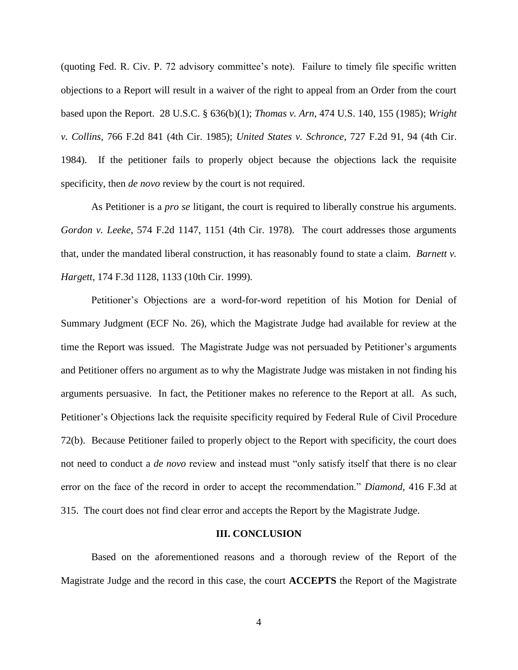(quoting Fed. R. Civ. P. 72 advisory committee's note). Failure to timely file specific written objections to a Report will result in a waiver of the right to appeal from an Order from the court based upon the Report. 28 U.S.C. § 636(b)(1); *Thomas v. Arn*, 474 U.S. 140, 155 (1985); *Wright v. Collins*, 766 F.2d 841 (4th Cir. 1985); *United States v. Schronce*, 727 F.2d 91, 94 (4th Cir. 1984). If the petitioner fails to properly object because the objections lack the requisite specificity, then *de novo* review by the court is not required.

As Petitioner is a *pro se* litigant, the court is required to liberally construe his arguments. *Gordon v. Leeke*, 574 F.2d 1147, 1151 (4th Cir. 1978). The court addresses those arguments that, under the mandated liberal construction, it has reasonably found to state a claim. *Barnett v. Hargett*, 174 F.3d 1128, 1133 (10th Cir. 1999).

Petitioner's Objections are a word-for-word repetition of his Motion for Denial of Summary Judgment (ECF No. 26), which the Magistrate Judge had available for review at the time the Report was issued. The Magistrate Judge was not persuaded by Petitioner's arguments and Petitioner offers no argument as to why the Magistrate Judge was mistaken in not finding his arguments persuasive. In fact, the Petitioner makes no reference to the Report at all. As such, Petitioner's Objections lack the requisite specificity required by Federal Rule of Civil Procedure 72(b). Because Petitioner failed to properly object to the Report with specificity, the court does not need to conduct a *de novo* review and instead must "only satisfy itself that there is no clear error on the face of the record in order to accept the recommendation." *Diamond,* 416 F.3d at 315. The court does not find clear error and accepts the Report by the Magistrate Judge.

#### **III. CONCLUSION**

Based on the aforementioned reasons and a thorough review of the Report of the Magistrate Judge and the record in this case, the court **ACCEPTS** the Report of the Magistrate